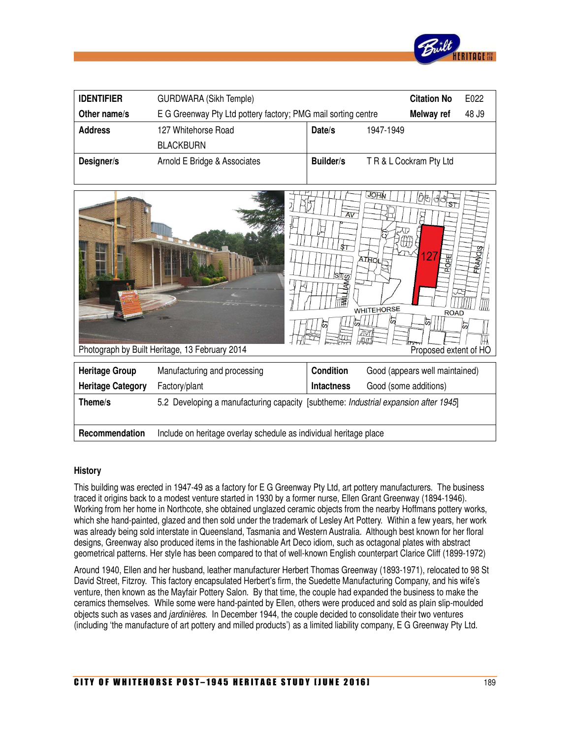

| <b>IDENTIFIER</b> | <b>GURDWARA (Sikh Temple)</b>                                 |           |           | <b>Citation No</b>      | E022  |
|-------------------|---------------------------------------------------------------|-----------|-----------|-------------------------|-------|
| Other name/s      | E G Greenway Pty Ltd pottery factory; PMG mail sorting centre |           |           | Melway ref              | 48 J9 |
| <b>Address</b>    | 127 Whitehorse Road                                           | Date/s    | 1947-1949 |                         |       |
|                   | <b>BLACKBURN</b>                                              |           |           |                         |       |
| Designer/s        | Arnold E Bridge & Associates                                  | Builder/s |           | T R & L Cockram Pty Ltd |       |



#### **History**

This building was erected in 1947-49 as a factory for E G Greenway Pty Ltd, art pottery manufacturers. The business traced it origins back to a modest venture started in 1930 by a former nurse, Ellen Grant Greenway (1894-1946). Working from her home in Northcote, she obtained unglazed ceramic objects from the nearby Hoffmans pottery works, which she hand-painted, glazed and then sold under the trademark of Lesley Art Pottery. Within a few years, her work was already being sold interstate in Queensland, Tasmania and Western Australia. Although best known for her floral designs, Greenway also produced items in the fashionable Art Deco idiom, such as octagonal plates with abstract geometrical patterns. Her style has been compared to that of well-known English counterpart Clarice Cliff (1899-1972)

Around 1940, Ellen and her husband, leather manufacturer Herbert Thomas Greenway (1893-1971), relocated to 98 St David Street, Fitzroy. This factory encapsulated Herbert's firm, the Suedette Manufacturing Company, and his wife's venture, then known as the Mayfair Pottery Salon. By that time, the couple had expanded the business to make the ceramics themselves. While some were hand-painted by Ellen, others were produced and sold as plain slip-moulded objects such as vases and jardinières. In December 1944, the couple decided to consolidate their two ventures (including 'the manufacture of art pottery and milled products') as a limited liability company, E G Greenway Pty Ltd.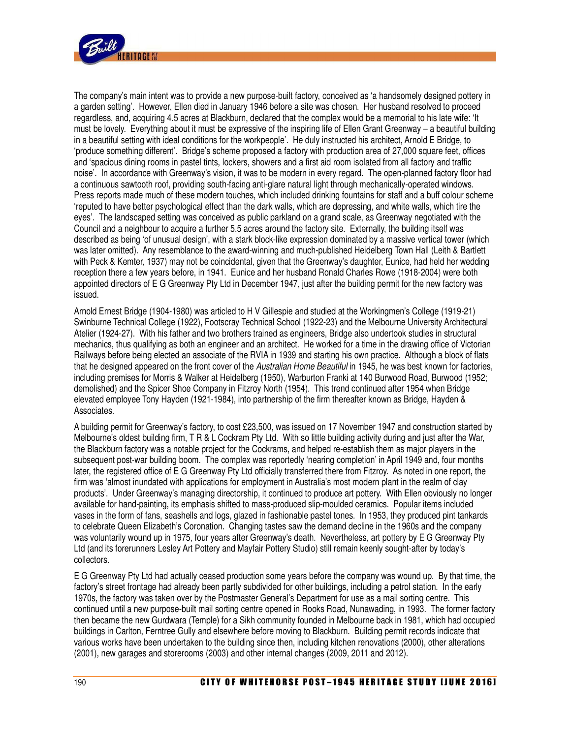

The company's main intent was to provide a new purpose-built factory, conceived as 'a handsomely designed pottery in a garden setting'. However, Ellen died in January 1946 before a site was chosen. Her husband resolved to proceed regardless, and, acquiring 4.5 acres at Blackburn, declared that the complex would be a memorial to his late wife: 'It must be lovely. Everything about it must be expressive of the inspiring life of Ellen Grant Greenway – a beautiful building in a beautiful setting with ideal conditions for the workpeople'. He duly instructed his architect, Arnold E Bridge, to 'produce something different'. Bridge's scheme proposed a factory with production area of 27,000 square feet, offices and 'spacious dining rooms in pastel tints, lockers, showers and a first aid room isolated from all factory and traffic noise'. In accordance with Greenway's vision, it was to be modern in every regard. The open-planned factory floor had a continuous sawtooth roof, providing south-facing anti-glare natural light through mechanically-operated windows. Press reports made much of these modern touches, which included drinking fountains for staff and a buff colour scheme 'reputed to have better psychological effect than the dark walls, which are depressing, and white walls, which tire the eyes'. The landscaped setting was conceived as public parkland on a grand scale, as Greenway negotiated with the Council and a neighbour to acquire a further 5.5 acres around the factory site. Externally, the building itself was described as being 'of unusual design', with a stark block-like expression dominated by a massive vertical tower (which was later omitted). Any resemblance to the award-winning and much-published Heidelberg Town Hall (Leith & Bartlett with Peck & Kemter, 1937) may not be coincidental, given that the Greenway's daughter, Eunice, had held her wedding reception there a few years before, in 1941. Eunice and her husband Ronald Charles Rowe (1918-2004) were both appointed directors of E G Greenway Pty Ltd in December 1947, just after the building permit for the new factory was issued.

Arnold Ernest Bridge (1904-1980) was articled to H V Gillespie and studied at the Workingmen's College (1919-21) Swinburne Technical College (1922), Footscray Technical School (1922-23) and the Melbourne University Architectural Atelier (1924-27). With his father and two brothers trained as engineers, Bridge also undertook studies in structural mechanics, thus qualifying as both an engineer and an architect. He worked for a time in the drawing office of Victorian Railways before being elected an associate of the RVIA in 1939 and starting his own practice. Although a block of flats that he designed appeared on the front cover of the Australian Home Beautiful in 1945, he was best known for factories, including premises for Morris & Walker at Heidelberg (1950), Warburton Franki at 140 Burwood Road, Burwood (1952; demolished) and the Spicer Shoe Company in Fitzroy North (1954). This trend continued after 1954 when Bridge elevated employee Tony Hayden (1921-1984), into partnership of the firm thereafter known as Bridge, Hayden & Associates.

A building permit for Greenway's factory, to cost £23,500, was issued on 17 November 1947 and construction started by Melbourne's oldest building firm, T R & L Cockram Pty Ltd. With so little building activity during and just after the War, the Blackburn factory was a notable project for the Cockrams, and helped re-establish them as major players in the subsequent post-war building boom. The complex was reportedly 'nearing completion' in April 1949 and, four months later, the registered office of E G Greenway Pty Ltd officially transferred there from Fitzroy. As noted in one report, the firm was 'almost inundated with applications for employment in Australia's most modern plant in the realm of clay products'. Under Greenway's managing directorship, it continued to produce art pottery. With Ellen obviously no longer available for hand-painting, its emphasis shifted to mass-produced slip-moulded ceramics. Popular items included vases in the form of fans, seashells and logs, glazed in fashionable pastel tones. In 1953, they produced pint tankards to celebrate Queen Elizabeth's Coronation. Changing tastes saw the demand decline in the 1960s and the company was voluntarily wound up in 1975, four years after Greenway's death. Nevertheless, art pottery by E G Greenway Pty Ltd (and its forerunners Lesley Art Pottery and Mayfair Pottery Studio) still remain keenly sought-after by today's collectors.

E G Greenway Pty Ltd had actually ceased production some years before the company was wound up. By that time, the factory's street frontage had already been partly subdivided for other buildings, including a petrol station. In the early 1970s, the factory was taken over by the Postmaster General's Department for use as a mail sorting centre. This continued until a new purpose-built mail sorting centre opened in Rooks Road, Nunawading, in 1993. The former factory then became the new Gurdwara (Temple) for a Sikh community founded in Melbourne back in 1981, which had occupied buildings in Carlton, Ferntree Gully and elsewhere before moving to Blackburn. Building permit records indicate that various works have been undertaken to the building since then, including kitchen renovations (2000), other alterations (2001), new garages and storerooms (2003) and other internal changes (2009, 2011 and 2012).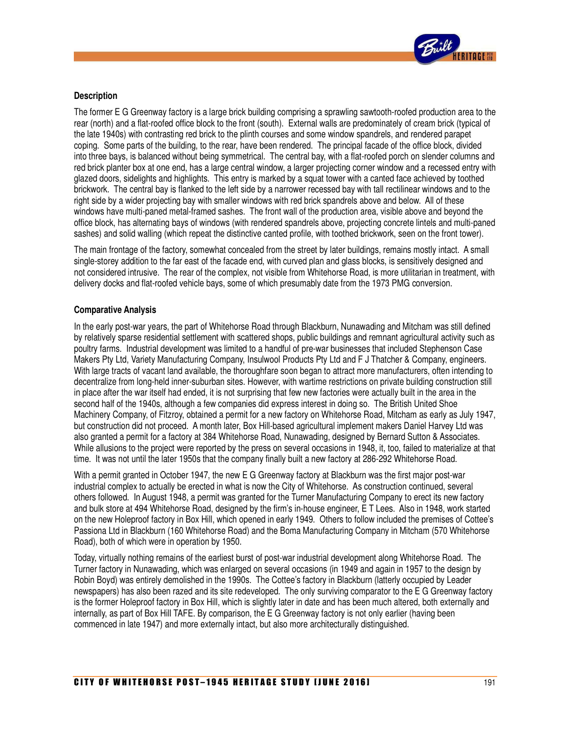

### **Description**

The former E G Greenway factory is a large brick building comprising a sprawling sawtooth-roofed production area to the rear (north) and a flat-roofed office block to the front (south). External walls are predominately of cream brick (typical of the late 1940s) with contrasting red brick to the plinth courses and some window spandrels, and rendered parapet coping. Some parts of the building, to the rear, have been rendered. The principal facade of the office block, divided into three bays, is balanced without being symmetrical. The central bay, with a flat-roofed porch on slender columns and red brick planter box at one end, has a large central window, a larger projecting corner window and a recessed entry with glazed doors, sidelights and highlights. This entry is marked by a squat tower with a canted face achieved by toothed brickwork. The central bay is flanked to the left side by a narrower recessed bay with tall rectilinear windows and to the right side by a wider projecting bay with smaller windows with red brick spandrels above and below. All of these windows have multi-paned metal-framed sashes. The front wall of the production area, visible above and beyond the office block, has alternating bays of windows (with rendered spandrels above, projecting concrete lintels and multi-paned sashes) and solid walling (which repeat the distinctive canted profile, with toothed brickwork, seen on the front tower).

The main frontage of the factory, somewhat concealed from the street by later buildings, remains mostly intact. A small single-storey addition to the far east of the facade end, with curved plan and glass blocks, is sensitively designed and not considered intrusive. The rear of the complex, not visible from Whitehorse Road, is more utilitarian in treatment, with delivery docks and flat-roofed vehicle bays, some of which presumably date from the 1973 PMG conversion.

## **Comparative Analysis**

In the early post-war years, the part of Whitehorse Road through Blackburn, Nunawading and Mitcham was still defined by relatively sparse residential settlement with scattered shops, public buildings and remnant agricultural activity such as poultry farms. Industrial development was limited to a handful of pre-war businesses that included Stephenson Case Makers Pty Ltd, Variety Manufacturing Company, Insulwool Products Pty Ltd and F J Thatcher & Company, engineers. With large tracts of vacant land available, the thoroughfare soon began to attract more manufacturers, often intending to decentralize from long-held inner-suburban sites. However, with wartime restrictions on private building construction still in place after the war itself had ended, it is not surprising that few new factories were actually built in the area in the second half of the 1940s, although a few companies did express interest in doing so. The British United Shoe Machinery Company, of Fitzroy, obtained a permit for a new factory on Whitehorse Road, Mitcham as early as July 1947, but construction did not proceed. A month later, Box Hill-based agricultural implement makers Daniel Harvey Ltd was also granted a permit for a factory at 384 Whitehorse Road, Nunawading, designed by Bernard Sutton & Associates. While allusions to the project were reported by the press on several occasions in 1948, it, too, failed to materialize at that time. It was not until the later 1950s that the company finally built a new factory at 286-292 Whitehorse Road.

With a permit granted in October 1947, the new E G Greenway factory at Blackburn was the first major post-war industrial complex to actually be erected in what is now the City of Whitehorse. As construction continued, several others followed. In August 1948, a permit was granted for the Turner Manufacturing Company to erect its new factory and bulk store at 494 Whitehorse Road, designed by the firm's in-house engineer, E T Lees. Also in 1948, work started on the new Holeproof factory in Box Hill, which opened in early 1949. Others to follow included the premises of Cottee's Passiona Ltd in Blackburn (160 Whitehorse Road) and the Boma Manufacturing Company in Mitcham (570 Whitehorse Road), both of which were in operation by 1950.

Today, virtually nothing remains of the earliest burst of post-war industrial development along Whitehorse Road. The Turner factory in Nunawading, which was enlarged on several occasions (in 1949 and again in 1957 to the design by Robin Boyd) was entirely demolished in the 1990s. The Cottee's factory in Blackburn (latterly occupied by Leader newspapers) has also been razed and its site redeveloped. The only surviving comparator to the E G Greenway factory is the former Holeproof factory in Box Hill, which is slightly later in date and has been much altered, both externally and internally, as part of Box Hill TAFE. By comparison, the E G Greenway factory is not only earlier (having been commenced in late 1947) and more externally intact, but also more architecturally distinguished.